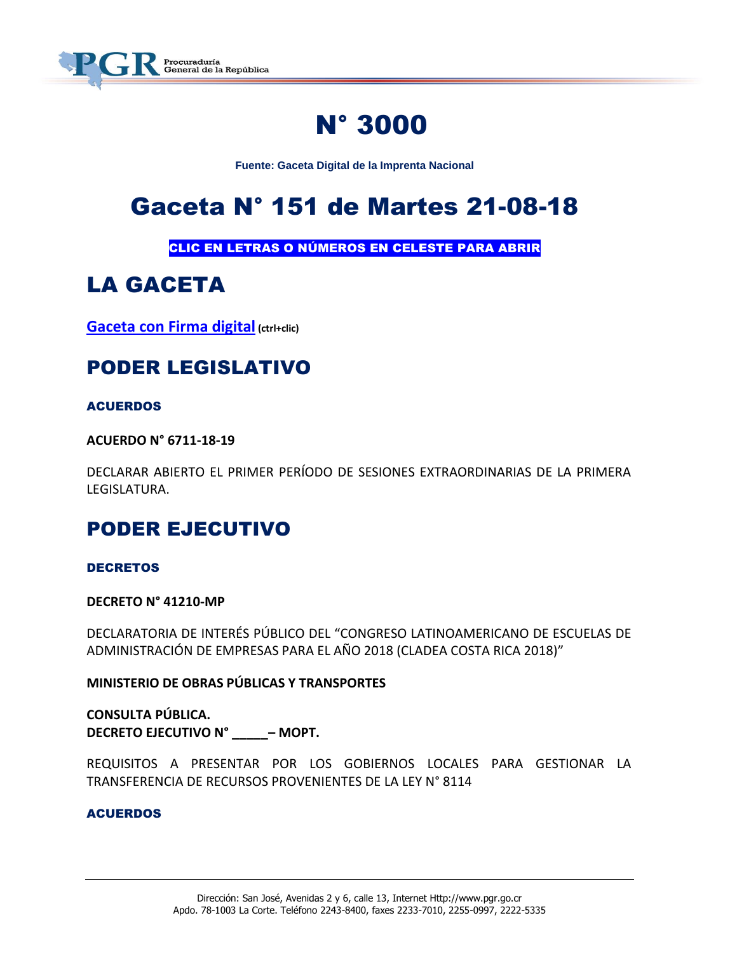

# N° 3000

**Fuente: Gaceta Digital de la Imprenta Nacional**

# Gaceta N° 151 de Martes 21-08-18

CLIC EN LETRAS O NÚMEROS EN CELESTE PARA ABRIR

# LA GACETA

**[Gaceta con Firma digital](https://www.imprentanacional.go.cr/pub/2018/08/21/COMP_21_08_2018.pdf) (ctrl+clic)**

## PODER LEGISLATIVO

### **ACUERDOS**

**ACUERDO N° 6711-18-19**

DECLARAR ABIERTO EL PRIMER PERÍODO DE SESIONES EXTRAORDINARIAS DE LA PRIMERA LEGISLATURA.

## PODER EJECUTIVO

### DECRETOS

**DECRETO N° 41210-MP**

DECLARATORIA DE INTERÉS PÚBLICO DEL "CONGRESO LATINOAMERICANO DE ESCUELAS DE ADMINISTRACIÓN DE EMPRESAS PARA EL AÑO 2018 (CLADEA COSTA RICA 2018)"

**MINISTERIO DE OBRAS PÚBLICAS Y TRANSPORTES**

**CONSULTA PÚBLICA. DECRETO EJECUTIVO N° \_\_\_\_\_– MOPT.**

REQUISITOS A PRESENTAR POR LOS GOBIERNOS LOCALES PARA GESTIONAR LA TRANSFERENCIA DE RECURSOS PROVENIENTES DE LA LEY N° 8114

### ACUERDOS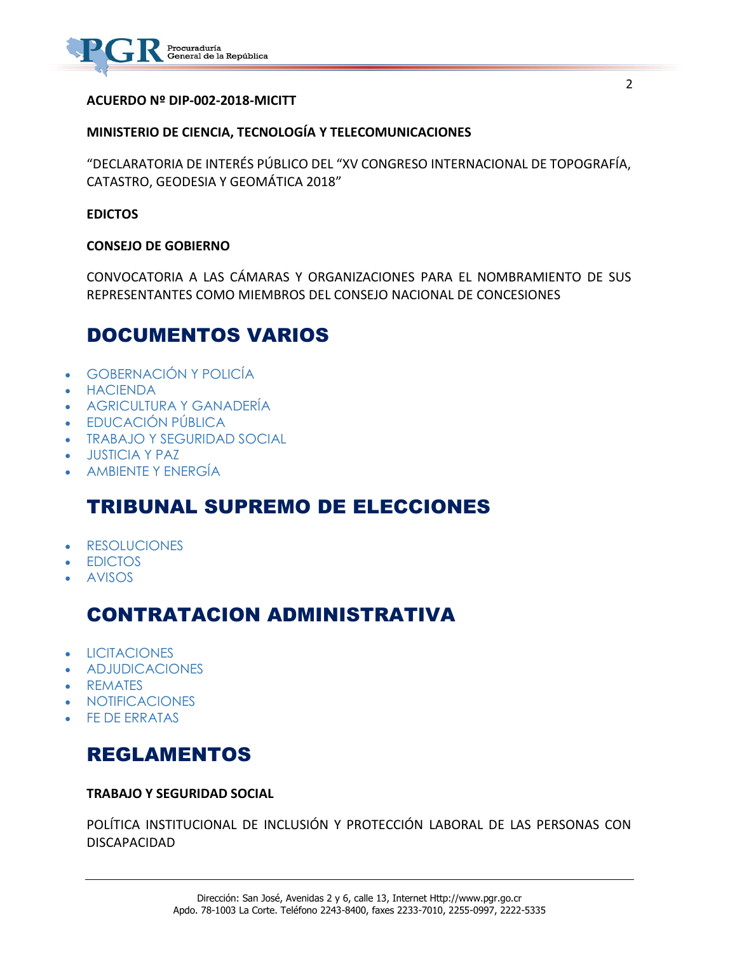

### **ACUERDO Nº DIP-002-2018-MICITT**

#### **MINISTERIO DE CIENCIA, TECNOLOGÍA Y TELECOMUNICACIONES**

"DECLARATORIA DE INTERÉS PÚBLICO DEL "XV CONGRESO INTERNACIONAL DE TOPOGRAFÍA, CATASTRO, GEODESIA Y GEOMÁTICA 2018"

#### **EDICTOS**

#### **CONSEJO DE GOBIERNO**

CONVOCATORIA A LAS CÁMARAS Y ORGANIZACIONES PARA EL NOMBRAMIENTO DE SUS REPRESENTANTES COMO MIEMBROS DEL CONSEJO NACIONAL DE CONCESIONES

### DOCUMENTOS VARIOS

- [GOBERNACIÓN Y POLICÍA](https://www.imprentanacional.go.cr/gaceta/#gobernacin-y-polica)
- [HACIENDA](https://www.imprentanacional.go.cr/gaceta/#hacienda)
- [AGRICULTURA Y GANADERÍA](https://www.imprentanacional.go.cr/gaceta/#agricultura-y-ganadera)
- [EDUCACIÓN PÚBLICA](https://www.imprentanacional.go.cr/gaceta/#educacin-pblica)
- [TRABAJO Y SEGURIDAD SOCIAL](https://www.imprentanacional.go.cr/gaceta/#trabajo-y-seguridad-social)
- [JUSTICIA Y PAZ](https://www.imprentanacional.go.cr/gaceta/#justicia-y-paz)
- [AMBIENTE Y ENERGÍA](https://www.imprentanacional.go.cr/gaceta/#ambiente-y-energa)

### TRIBUNAL SUPREMO DE ELECCIONES

- [RESOLUCIONES](https://www.imprentanacional.go.cr/gaceta/#resoluciones)
- [EDICTOS](https://www.imprentanacional.go.cr/gaceta/#edictos)
- [AVISOS](https://www.imprentanacional.go.cr/gaceta/#avisos)

### CONTRATACION ADMINISTRATIVA

- [LICITACIONES](https://www.imprentanacional.go.cr/gaceta/#licitaciones)
- [ADJUDICACIONES](https://www.imprentanacional.go.cr/gaceta/#adjudicaciones)
- [REMATES](https://www.imprentanacional.go.cr/gaceta/#remates)
- [NOTIFICACIONES](https://www.imprentanacional.go.cr/gaceta/#notificaciones)
- [FE DE ERRATAS](https://www.imprentanacional.go.cr/gaceta/#fe-de-erratas)

### REGLAMENTOS

#### **TRABAJO Y SEGURIDAD SOCIAL**

POLÍTICA INSTITUCIONAL DE INCLUSIÓN Y PROTECCIÓN LABORAL DE LAS PERSONAS CON DISCAPACIDAD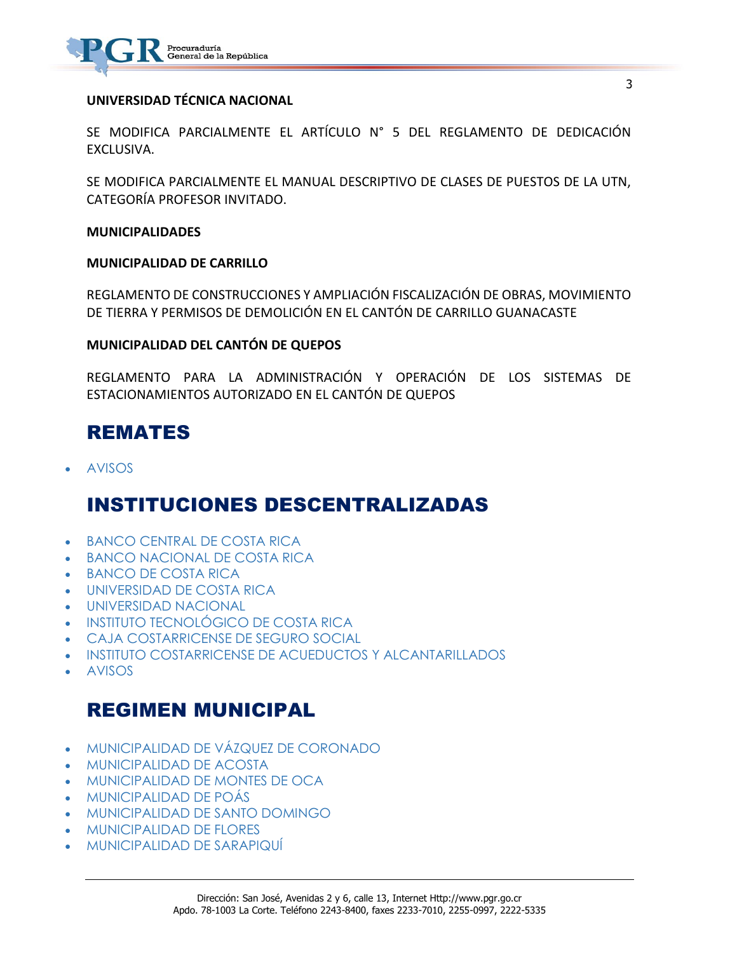

### **UNIVERSIDAD TÉCNICA NACIONAL**

SE MODIFICA PARCIALMENTE EL ARTÍCULO N° 5 DEL REGLAMENTO DE DEDICACIÓN EXCLUSIVA.

SE MODIFICA PARCIALMENTE EL MANUAL DESCRIPTIVO DE CLASES DE PUESTOS DE LA UTN, CATEGORÍA PROFESOR INVITADO.

#### **MUNICIPALIDADES**

#### **MUNICIPALIDAD DE CARRILLO**

REGLAMENTO DE CONSTRUCCIONES Y AMPLIACIÓN FISCALIZACIÓN DE OBRAS, MOVIMIENTO DE TIERRA Y PERMISOS DE DEMOLICIÓN EN EL CANTÓN DE CARRILLO GUANACASTE

#### **MUNICIPALIDAD DEL CANTÓN DE QUEPOS**

REGLAMENTO PARA LA ADMINISTRACIÓN Y OPERACIÓN DE LOS SISTEMAS DE ESTACIONAMIENTOS AUTORIZADO EN EL CANTÓN DE QUEPOS

### REMATES

[AVISOS](https://www.imprentanacional.go.cr/gaceta/#avisos)

### INSTITUCIONES DESCENTRALIZADAS

- **[BANCO CENTRAL DE COSTA RICA](https://www.imprentanacional.go.cr/gaceta/#banco-central-de-costa-rica)**
- [BANCO NACIONAL DE COSTA RICA](https://www.imprentanacional.go.cr/gaceta/#banconacional-de-costa-rica)
- [BANCO DE COSTA RICA](https://www.imprentanacional.go.cr/gaceta/#banco-de-costa-rica)
- [UNIVERSIDAD DE COSTA RICA](https://www.imprentanacional.go.cr/gaceta/#universidad-de-costa-rica)
- [UNIVERSIDAD NACIONAL](https://www.imprentanacional.go.cr/gaceta/#universidad-nacional)
- [INSTITUTO TECNOLÓGICO DE COSTA RICA](https://www.imprentanacional.go.cr/gaceta/#instituto-tecnolgico-de-costarica)
- [CAJA COSTARRICENSE DE SEGURO SOCIAL](https://www.imprentanacional.go.cr/gaceta/#caja-costarricense-de-segurosocial)
- [INSTITUTO COSTARRICENSE DE ACUEDUCTOS](https://www.imprentanacional.go.cr/gaceta/#instituto-costarricense-deacueductos) [Y ALCANTARILLADOS](https://www.imprentanacional.go.cr/gaceta/#instituto-costarricense-deacueductos)
- [AVISOS](https://www.imprentanacional.go.cr/gaceta/#avisos)

### REGIMEN MUNICIPAL

- [MUNICIPALIDAD DE VÁZQUEZ DE CORONADO](https://www.imprentanacional.go.cr/gaceta/#municipalidadde-vzquez-de-coronado)
- [MUNICIPALIDAD DE ACOSTA](https://www.imprentanacional.go.cr/gaceta/#municipalidadde-acosta)
- [MUNICIPALIDAD DE MONTES DE OCA](https://www.imprentanacional.go.cr/gaceta/#municipalidadde-montes-de-oca)
- [MUNICIPALIDAD DE POÁS](https://www.imprentanacional.go.cr/gaceta/#municipalidadde-pos)
- [MUNICIPALIDAD DE SANTO DOMINGO](https://www.imprentanacional.go.cr/gaceta/#municipalidadde-santo-domingo)
- [MUNICIPALIDAD DE FLORES](https://www.imprentanacional.go.cr/gaceta/#municipalidadde-flores)
- [MUNICIPALIDAD DE SARAPIQUÍ](https://www.imprentanacional.go.cr/gaceta/#municipalidadde-sarapiqu)